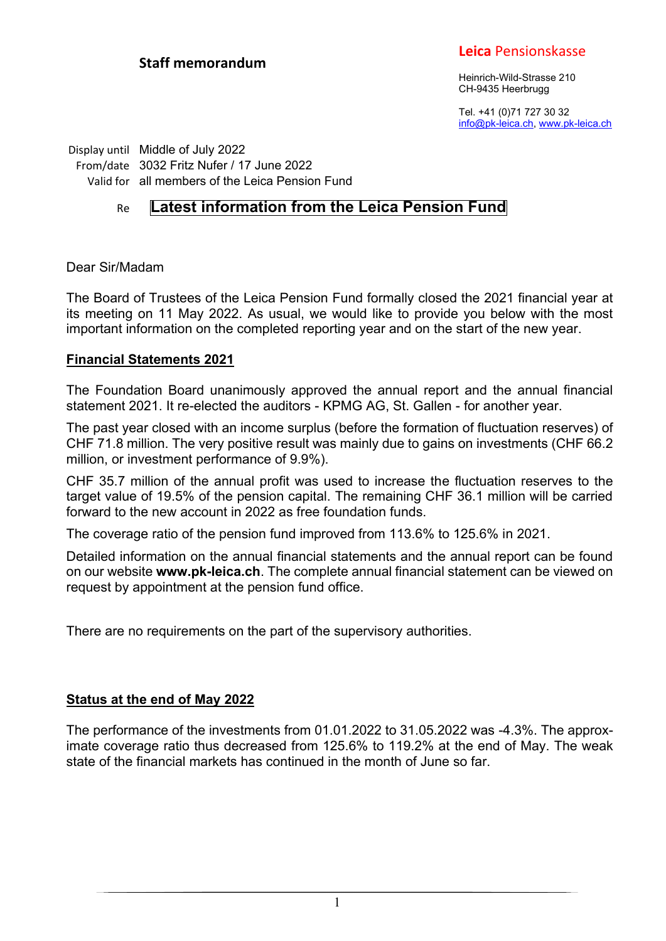## **Staff memorandum**

## **Leica** Pensionskasse

Heinrich-Wild-Strasse 210 CH-9435 Heerbrugg

Tel. +41 (0)71 727 30 32 info@pk-leica.ch, www.pk-leica.ch

Display until Middle of July 2022 From/date 3032 Fritz Nufer / 17 June 2022 Valid for all members of the Leica Pension Fund

# Re **Latest information from the Leica Pension Fund**

Dear Sir/Madam

The Board of Trustees of the Leica Pension Fund formally closed the 2021 financial year at its meeting on 11 May 2022. As usual, we would like to provide you below with the most important information on the completed reporting year and on the start of the new year.

#### **Financial Statements 2021**

The Foundation Board unanimously approved the annual report and the annual financial statement 2021. It re-elected the auditors - KPMG AG, St. Gallen - for another year.

The past year closed with an income surplus (before the formation of fluctuation reserves) of CHF 71.8 million. The very positive result was mainly due to gains on investments (CHF 66.2 million, or investment performance of 9.9%).

CHF 35.7 million of the annual profit was used to increase the fluctuation reserves to the target value of 19.5% of the pension capital. The remaining CHF 36.1 million will be carried forward to the new account in 2022 as free foundation funds.

The coverage ratio of the pension fund improved from 113.6% to 125.6% in 2021.

Detailed information on the annual financial statements and the annual report can be found on our website **www.pk-leica.ch**. The complete annual financial statement can be viewed on request by appointment at the pension fund office.

There are no requirements on the part of the supervisory authorities.

### **Status at the end of May 2022**

The performance of the investments from 01.01.2022 to 31.05.2022 was -4.3%. The approximate coverage ratio thus decreased from 125.6% to 119.2% at the end of May. The weak state of the financial markets has continued in the month of June so far.

1